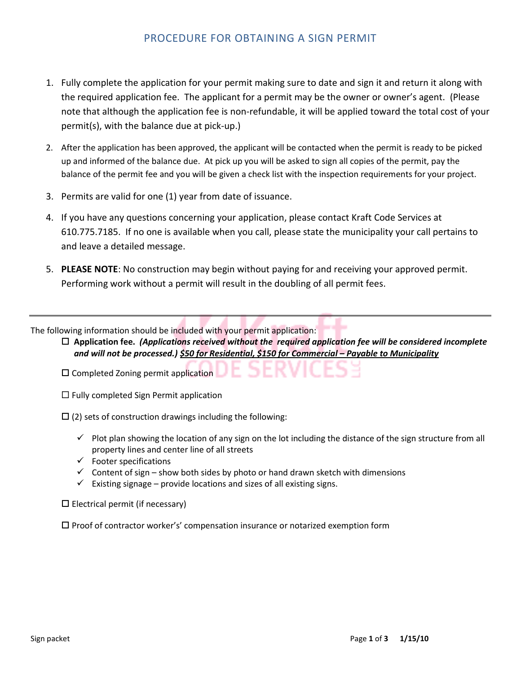## PROCEDURE FOR OBTAINING A SIGN PERMIT

- 1. Fully complete the application for your permit making sure to date and sign it and return it along with the required application fee. The applicant for a permit may be the owner or owner's agent. (Please note that although the application fee is non-refundable, it will be applied toward the total cost of your permit(s), with the balance due at pick-up.)
- 2. After the application has been approved, the applicant will be contacted when the permit is ready to be picked up and informed of the balance due. At pick up you will be asked to sign all copies of the permit, pay the balance of the permit fee and you will be given a check list with the inspection requirements for your project.
- 3. Permits are valid for one (1) year from date of issuance.
- 4. If you have any questions concerning your application, please contact Kraft Code Services at 610.775.7185. If no one is available when you call, please state the municipality your call pertains to and leave a detailed message.
- 5. **PLEASE NOTE**: No construction may begin without paying for and receiving your approved permit. Performing work without a permit will result in the doubling of all permit fees.

The following information should be included with your permit application:

 **Application fee.** *(Applications received without the required application fee will be considered incomplete and will not be processed.) \$50 for Residential, \$150 for Commercial – Payable to Municipality*

 $\square$  Completed Zoning permit application

 $\Box$  Fully completed Sign Permit application

 $\Box$  (2) sets of construction drawings including the following:

- $\checkmark$  Plot plan showing the location of any sign on the lot including the distance of the sign structure from all property lines and center line of all streets
- $\checkmark$  Footer specifications
- $\checkmark$  Content of sign show both sides by photo or hand drawn sketch with dimensions
- $\checkmark$  Existing signage provide locations and sizes of all existing signs.

 $\square$  Electrical permit (if necessary)

 $\square$  Proof of contractor worker's' compensation insurance or notarized exemption form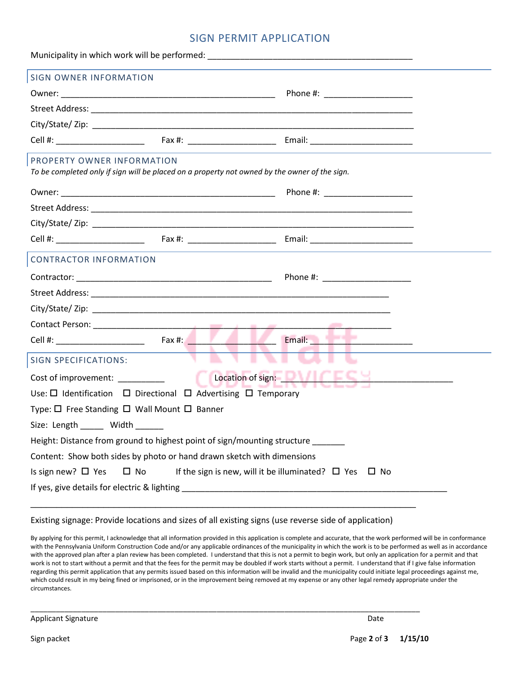## SIGN PERMIT APPLICATION

| <b>SIGN OWNER INFORMATION</b>                                                                                               |                                                                                                                                                                                                                                |  |  |  |  |
|-----------------------------------------------------------------------------------------------------------------------------|--------------------------------------------------------------------------------------------------------------------------------------------------------------------------------------------------------------------------------|--|--|--|--|
|                                                                                                                             | Phone #: ______________________                                                                                                                                                                                                |  |  |  |  |
|                                                                                                                             |                                                                                                                                                                                                                                |  |  |  |  |
|                                                                                                                             |                                                                                                                                                                                                                                |  |  |  |  |
|                                                                                                                             |                                                                                                                                                                                                                                |  |  |  |  |
| PROPERTY OWNER INFORMATION<br>To be completed only if sign will be placed on a property not owned by the owner of the sign. |                                                                                                                                                                                                                                |  |  |  |  |
|                                                                                                                             | Phone #: _______________________                                                                                                                                                                                               |  |  |  |  |
|                                                                                                                             |                                                                                                                                                                                                                                |  |  |  |  |
|                                                                                                                             |                                                                                                                                                                                                                                |  |  |  |  |
|                                                                                                                             |                                                                                                                                                                                                                                |  |  |  |  |
| <b>CONTRACTOR INFORMATION</b>                                                                                               |                                                                                                                                                                                                                                |  |  |  |  |
|                                                                                                                             | Phone #: _____________________                                                                                                                                                                                                 |  |  |  |  |
|                                                                                                                             |                                                                                                                                                                                                                                |  |  |  |  |
|                                                                                                                             |                                                                                                                                                                                                                                |  |  |  |  |
|                                                                                                                             |                                                                                                                                                                                                                                |  |  |  |  |
|                                                                                                                             | Email: Party of the Contract of the Contract of the Contract of the Contract of the Contract of the Contract of the Contract of the Contract of the Contract of the Contract of the Contract of the Contract of the Contract o |  |  |  |  |
| <b>SIGN SPECIFICATIONS:</b>                                                                                                 |                                                                                                                                                                                                                                |  |  |  |  |
| Location of sign:<br>Cost of improvement:                                                                                   |                                                                                                                                                                                                                                |  |  |  |  |
| Use: $\Box$ Identification $\Box$ Directional $\Box$ Advertising $\Box$ Temporary                                           |                                                                                                                                                                                                                                |  |  |  |  |
| Type: $\Box$ Free Standing $\Box$ Wall Mount $\Box$ Banner                                                                  |                                                                                                                                                                                                                                |  |  |  |  |
| Size: Length ______ Width                                                                                                   |                                                                                                                                                                                                                                |  |  |  |  |
| Height: Distance from ground to highest point of sign/mounting structure ______                                             |                                                                                                                                                                                                                                |  |  |  |  |
| Content: Show both sides by photo or hand drawn sketch with dimensions                                                      |                                                                                                                                                                                                                                |  |  |  |  |
| Is sign new? $\Box$ Yes<br>$\square$ No<br>If the sign is new, will it be illuminated? $\square$ Yes<br>$\Box$ No           |                                                                                                                                                                                                                                |  |  |  |  |
|                                                                                                                             |                                                                                                                                                                                                                                |  |  |  |  |
|                                                                                                                             |                                                                                                                                                                                                                                |  |  |  |  |

Existing signage: Provide locations and sizes of all existing signs (use reverse side of application)

\_\_\_\_\_\_\_\_\_\_\_\_\_\_\_\_\_\_\_\_\_\_\_\_\_\_\_\_\_\_\_\_\_\_\_\_\_\_\_\_\_\_\_\_\_\_\_\_\_\_\_\_\_\_\_\_\_\_\_\_\_\_\_\_\_\_\_\_\_\_\_\_\_\_\_\_\_\_\_\_\_\_\_\_\_\_\_\_\_\_\_\_

By applying for this permit, I acknowledge that all information provided in this application is complete and accurate, that the work performed will be in conformance with the Pennsylvania Uniform Construction Code and/or any applicable ordinances of the municipality in which the work is to be performed as well as in accordance with the approved plan after a plan review has been completed. I understand that this is not a permit to begin work, but only an application for a permit and that work is not to start without a permit and that the fees for the permit may be doubled if work starts without a permit. I understand that if I give false information regarding this permit application that any permits issued based on this information will be invalid and the municipality could initiate legal proceedings against me, which could result in my being fined or imprisoned, or in the improvement being removed at my expense or any other legal remedy appropriate under the circumstances.

Applicant Signature Date Date of the Date of the United States of the Date of the Date of the Date of the Date